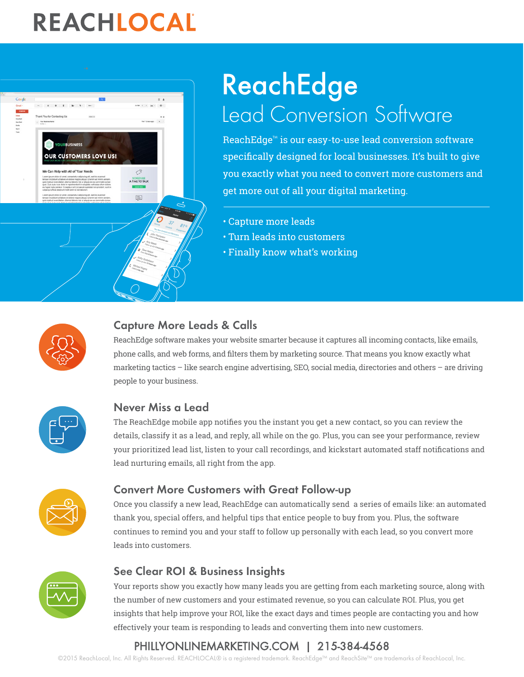# REACHLOCAL



## ReachEdge Lead Conversion Software

ReachEdge™ is our easy-to-use lead conversion software specifically designed for local businesses. It's built to give you exactly what you need to convert more customers and get more out of all your digital marketing.

- Capture more leads
- Turn leads into customers
- Finally know what's working



### Capture More Leads & Calls

ReachEdge software makes your website smarter because it captures all incoming contacts, like emails, phone calls, and web forms, and filters them by marketing source. That means you know exactly what marketing tactics – like search engine advertising, SEO, social media, directories and others – are driving people to your business.



### Never Miss a Lead

The ReachEdge mobile app notifies you the instant you get a new contact, so you can review the details, classify it as a lead, and reply, all while on the go. Plus, you can see your performance, review your prioritized lead list, listen to your call recordings, and kickstart automated staff notifications and lead nurturing emails, all right from the app.



### Convert More Customers with Great Follow-up

Once you classify a new lead, ReachEdge can automatically send a series of emails like: an automated thank you, special offers, and helpful tips that entice people to buy from you. Plus, the software continues to remind you and your staff to follow up personally with each lead, so you convert more leads into customers.



### See Clear ROI & Business Insights

Your reports show you exactly how many leads you are getting from each marketing source, along with the number of new customers and your estimated revenue, so you can calculate ROI. Plus, you get insights that help improve your ROI, like the exact days and times people are contacting you and how effectively your team is responding to leads and converting them into new customers.

### [P](http://www.phillyonlinemarketing.com/)[HILLYONLINEMARKETING.COM](http://www.reachlocal.com) [|](http://www.phillyonlinemarketing.com/) 215-384-4568

©2015 ReachLocal, Inc. All Rights Reserved. REACHLOCAL® is a registered trademark. ReachEdge™ and ReachSite™ are trademarks of ReachLocal, Inc.